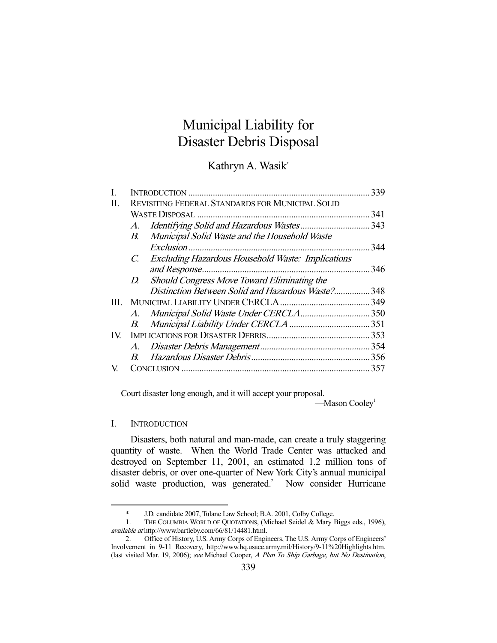# Municipal Liability for Disaster Debris Disposal

Kathryn A. Wasik\*

|      |                                                                         | 339  |
|------|-------------------------------------------------------------------------|------|
| П.   | REVISITING FEDERAL STANDARDS FOR MUNICIPAL SOLID                        |      |
|      |                                                                         | 341  |
|      | $A_{\cdot}$                                                             | .343 |
|      | Municipal Solid Waste and the Household Waste<br>$B_{\cdot}$            |      |
|      |                                                                         | 344  |
|      | <b>Excluding Hazardous Household Waste: Implications</b><br>$C_{\cdot}$ |      |
|      |                                                                         | 346  |
|      | Should Congress Move Toward Eliminating the<br>D.                       |      |
|      | Distinction Between Solid and Hazardous Waste? 348                      |      |
| III. |                                                                         |      |
|      | A.                                                                      |      |
|      | B.                                                                      | 351  |
| IV.  |                                                                         |      |
|      | A.                                                                      |      |
|      | $\overline{B}$                                                          |      |
| V    |                                                                         | 357  |
|      |                                                                         |      |

Court disaster long enough, and it will accept your proposal.

 $-Mason Cooley<sup>1</sup>$ 

#### I. INTRODUCTION

-

 Disasters, both natural and man-made, can create a truly staggering quantity of waste. When the World Trade Center was attacked and destroyed on September 11, 2001, an estimated 1.2 million tons of disaster debris, or over one-quarter of New York City's annual municipal solid waste production, was generated. $\degree$  Now consider Hurricane

 <sup>\*</sup> J.D. candidate 2007, Tulane Law School; B.A. 2001, Colby College.

 <sup>1.</sup> THE COLUMBIA WORLD OF QUOTATIONS, (Michael Seidel & Mary Biggs eds., 1996), available at http://www.bartleby.com/66/81/14481.html.

 <sup>2.</sup> Office of History, U.S. Army Corps of Engineers, The U.S. Army Corps of Engineers' Involvement in 9-11 Recovery, http://www.hq.usace.army.mil/History/9-11%20Highlights.htm. (last visited Mar. 19, 2006); see Michael Cooper, A Plan To Ship Garbage, but No Destination,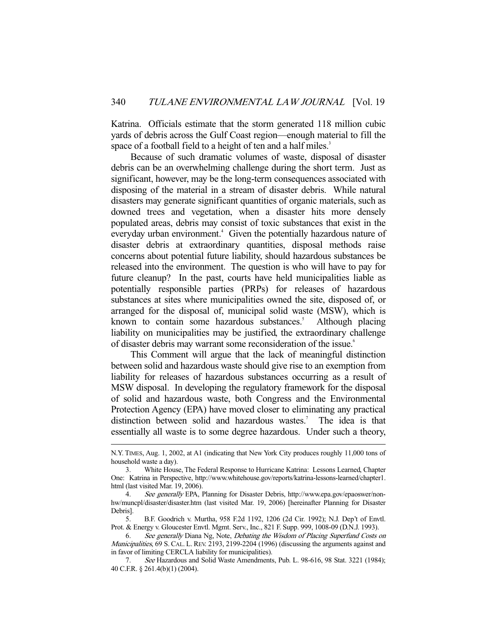Katrina. Officials estimate that the storm generated 118 million cubic yards of debris across the Gulf Coast region—enough material to fill the space of a football field to a height of ten and a half miles.<sup>3</sup>

 Because of such dramatic volumes of waste, disposal of disaster debris can be an overwhelming challenge during the short term. Just as significant, however, may be the long-term consequences associated with disposing of the material in a stream of disaster debris. While natural disasters may generate significant quantities of organic materials, such as downed trees and vegetation, when a disaster hits more densely populated areas, debris may consist of toxic substances that exist in the everyday urban environment.<sup>4</sup> Given the potentially hazardous nature of disaster debris at extraordinary quantities, disposal methods raise concerns about potential future liability, should hazardous substances be released into the environment. The question is who will have to pay for future cleanup? In the past, courts have held municipalities liable as potentially responsible parties (PRPs) for releases of hazardous substances at sites where municipalities owned the site, disposed of, or arranged for the disposal of, municipal solid waste (MSW), which is known to contain some hazardous substances.<sup>5</sup> Although placing liability on municipalities may be justified, the extraordinary challenge of disaster debris may warrant some reconsideration of the issue.<sup>6</sup>

 This Comment will argue that the lack of meaningful distinction between solid and hazardous waste should give rise to an exemption from liability for releases of hazardous substances occurring as a result of MSW disposal. In developing the regulatory framework for the disposal of solid and hazardous waste, both Congress and the Environmental Protection Agency (EPA) have moved closer to eliminating any practical distinction between solid and hazardous wastes.<sup>7</sup> The idea is that essentially all waste is to some degree hazardous. Under such a theory,

N.Y. TIMES, Aug. 1, 2002, at A1 (indicating that New York City produces roughly 11,000 tons of household waste a day).

 <sup>3.</sup> White House, The Federal Response to Hurricane Katrina: Lessons Learned, Chapter One: Katrina in Perspective, http://www.whitehouse.gov/reports/katrina-lessons-learned/chapter1. html (last visited Mar. 19, 2006).

<sup>4.</sup> See generally EPA, Planning for Disaster Debris, http://www.epa.gov/epaoswer/nonhw/muncpl/disaster/disaster.htm (last visited Mar. 19, 2006) [hereinafter Planning for Disaster Debris].

 <sup>5.</sup> B.F. Goodrich v. Murtha, 958 F.2d 1192, 1206 (2d Cir. 1992); N.J. Dep't of Envtl. Prot. & Energy v. Gloucester Envtl. Mgmt. Serv., Inc., 821 F. Supp. 999, 1008-09 (D.N.J. 1993).

 <sup>6.</sup> See generally Diana Ng, Note, Debating the Wisdom of Placing Superfund Costs on Municipalities, 69 S. CAL. L. REV. 2193, 2199-2204 (1996) (discussing the arguments against and in favor of limiting CERCLA liability for municipalities).

 <sup>7.</sup> See Hazardous and Solid Waste Amendments, Pub. L. 98-616, 98 Stat. 3221 (1984); 40 C.F.R. § 261.4(b)(1) (2004).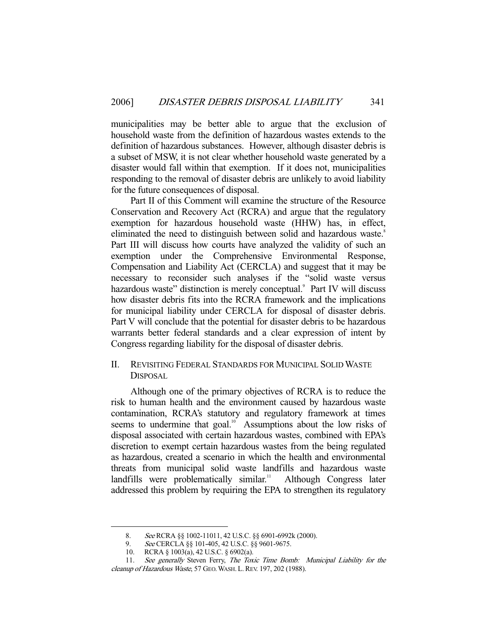municipalities may be better able to argue that the exclusion of household waste from the definition of hazardous wastes extends to the definition of hazardous substances. However, although disaster debris is a subset of MSW, it is not clear whether household waste generated by a disaster would fall within that exemption. If it does not, municipalities responding to the removal of disaster debris are unlikely to avoid liability for the future consequences of disposal.

 Part II of this Comment will examine the structure of the Resource Conservation and Recovery Act (RCRA) and argue that the regulatory exemption for hazardous household waste (HHW) has, in effect, eliminated the need to distinguish between solid and hazardous waste.<sup>8</sup> Part III will discuss how courts have analyzed the validity of such an exemption under the Comprehensive Environmental Response, Compensation and Liability Act (CERCLA) and suggest that it may be necessary to reconsider such analyses if the "solid waste versus hazardous waste" distinction is merely conceptual.<sup>9</sup> Part IV will discuss how disaster debris fits into the RCRA framework and the implications for municipal liability under CERCLA for disposal of disaster debris. Part V will conclude that the potential for disaster debris to be hazardous warrants better federal standards and a clear expression of intent by Congress regarding liability for the disposal of disaster debris.

## II. REVISITING FEDERAL STANDARDS FOR MUNICIPAL SOLID WASTE DISPOSAL

 Although one of the primary objectives of RCRA is to reduce the risk to human health and the environment caused by hazardous waste contamination, RCRA's statutory and regulatory framework at times seems to undermine that goal.<sup>10</sup> Assumptions about the low risks of disposal associated with certain hazardous wastes, combined with EPA's discretion to exempt certain hazardous wastes from the being regulated as hazardous, created a scenario in which the health and environmental threats from municipal solid waste landfills and hazardous waste landfills were problematically similar.<sup>11</sup> Although Congress later addressed this problem by requiring the EPA to strengthen its regulatory

<sup>8.</sup> See RCRA §§ 1002-11011, 42 U.S.C. §§ 6901-6992k (2000).

<sup>9.</sup> See CERCLA §§ 101-405, 42 U.S.C. §§ 9601-9675.

 <sup>10.</sup> RCRA § 1003(a), 42 U.S.C. § 6902(a).

<sup>11.</sup> See generally Steven Ferry, The Toxic Time Bomb: Municipal Liability for the cleanup of Hazardous Waste, 57 GEO. WASH. L. REV. 197, 202 (1988).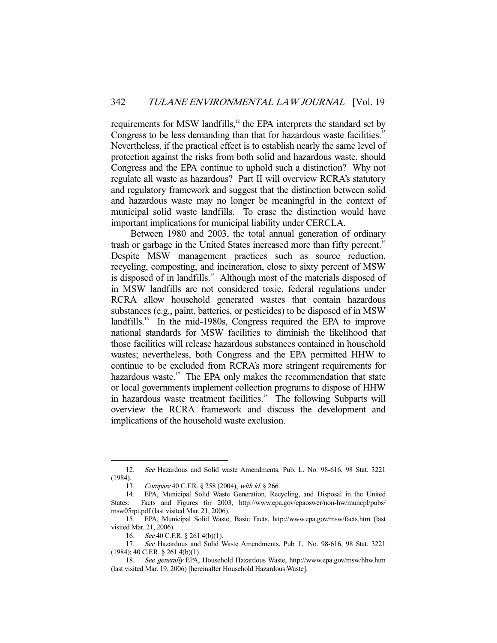requirements for MSW landfills,<sup>12</sup> the EPA interprets the standard set by Congress to be less demanding than that for hazardous waste facilities.<sup>13</sup> Nevertheless, if the practical effect is to establish nearly the same level of protection against the risks from both solid and hazardous waste, should Congress and the EPA continue to uphold such a distinction? Why not regulate all waste as hazardous? Part II will overview RCRA's statutory and regulatory framework and suggest that the distinction between solid and hazardous waste may no longer be meaningful in the context of municipal solid waste landfills. To erase the distinction would have important implications for municipal liability under CERCLA.

 Between 1980 and 2003, the total annual generation of ordinary trash or garbage in the United States increased more than fifty percent.<sup>14</sup> Despite MSW management practices such as source reduction, recycling, composting, and incineration, close to sixty percent of MSW is disposed of in landfills.<sup>15</sup> Although most of the materials disposed of in MSW landfills are not considered toxic, federal regulations under RCRA allow household generated wastes that contain hazardous substances (e.g., paint, batteries, or pesticides) to be disposed of in MSW landfills.<sup>16</sup> In the mid-1980s, Congress required the EPA to improve national standards for MSW facilities to diminish the likelihood that those facilities will release hazardous substances contained in household wastes; nevertheless, both Congress and the EPA permitted HHW to continue to be excluded from RCRA's more stringent requirements for hazardous waste.<sup>17</sup> The EPA only makes the recommendation that state or local governments implement collection programs to dispose of HHW in hazardous waste treatment facilities.<sup>18</sup> The following Subparts will overview the RCRA framework and discuss the development and implications of the household waste exclusion.

 <sup>12.</sup> See Hazardous and Solid waste Amendments, Pub. L. No. 98-616, 98 Stat. 3221 (1984).

<sup>13.</sup> Compare 40 C.F.R. § 258 (2004), with id. § 266.

 <sup>14.</sup> EPA, Municipal Solid Waste Generation, Recycling, and Disposal in the United States: Facts and Figures for 2003, http://www.epa.gov/epaoswer/non-hw/muncpl/pubs/ msw05rpt.pdf (last visited Mar. 21, 2006).

 <sup>15.</sup> EPA, Municipal Solid Waste, Basic Facts, http://www.epa.gov/msw/facts.htm (last visited Mar. 21, 2006).

<sup>16.</sup>  $See 40$  C.F.R. § 261.4(b)(1).

 <sup>17.</sup> See Hazardous and Solid Waste Amendments, Pub. L. No. 98-616, 98 Stat. 3221 (1984); 40 C.F.R. § 261.4(b)(1).

 <sup>18.</sup> See generally EPA, Household Hazardous Waste, http://www.epa.gov/msw/hhw.htm (last visited Mar. 19, 2006) [hereinafter Household Hazardous Waste].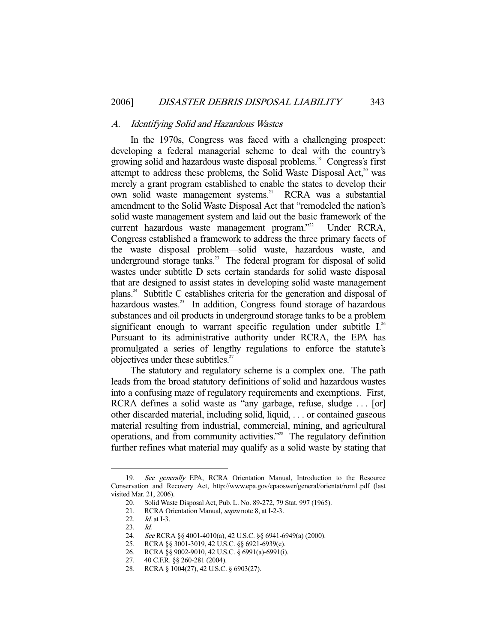#### A. Identifying Solid and Hazardous Wastes

 In the 1970s, Congress was faced with a challenging prospect: developing a federal managerial scheme to deal with the country's growing solid and hazardous waste disposal problems.<sup>19</sup> Congress's first attempt to address these problems, the Solid Waste Disposal Act, $2^{\circ}$  was merely a grant program established to enable the states to develop their own solid waste management systems.<sup>21</sup> RCRA was a substantial amendment to the Solid Waste Disposal Act that "remodeled the nation's solid waste management system and laid out the basic framework of the current hazardous waste management program."<sup>22</sup> Under RCRA, Congress established a framework to address the three primary facets of the waste disposal problem—solid waste, hazardous waste, and underground storage tanks.<sup>23</sup> The federal program for disposal of solid wastes under subtitle D sets certain standards for solid waste disposal that are designed to assist states in developing solid waste management plans.24 Subtitle C establishes criteria for the generation and disposal of hazardous wastes.<sup>25</sup> In addition, Congress found storage of hazardous substances and oil products in underground storage tanks to be a problem significant enough to warrant specific regulation under subtitle  $I^{26}$ . Pursuant to its administrative authority under RCRA, the EPA has promulgated a series of lengthy regulations to enforce the statute's objectives under these subtitles.<sup>27</sup>

 The statutory and regulatory scheme is a complex one. The path leads from the broad statutory definitions of solid and hazardous wastes into a confusing maze of regulatory requirements and exemptions. First, RCRA defines a solid waste as "any garbage, refuse, sludge . . . [or] other discarded material, including solid, liquid, . . . or contained gaseous material resulting from industrial, commercial, mining, and agricultural operations, and from community activities."28 The regulatory definition further refines what material may qualify as a solid waste by stating that

<sup>19.</sup> See generally EPA, RCRA Orientation Manual, Introduction to the Resource Conservation and Recovery Act, http://www.epa.gov/epaoswer/general/orientat/rom1.pdf (last visited Mar. 21, 2006).

 <sup>20.</sup> Solid Waste Disposal Act, Pub. L. No. 89-272, 79 Stat. 997 (1965).

<sup>21.</sup> RCRA Orientation Manual, *supra* note 8, at I-2-3.

<sup>22.</sup> *Id.* at I-3.

<sup>23.</sup> *Id.*<br>24. *See*<br>25. RC See RCRA §§ 4001-4010(a), 42 U.S.C. §§ 6941-6949(a) (2000).

<sup>25.</sup> RCRA §§ 3001-3019, 42 U.S.C. §§ 6921-6939(e).<br>26. RCRA §§ 9002-9010, 42 U.S.C. § 6991(a)-6991(i)

 <sup>26.</sup> RCRA §§ 9002-9010, 42 U.S.C. § 6991(a)-6991(i).

 <sup>27. 40</sup> C.F.R. §§ 260-281 (2004).

 <sup>28.</sup> RCRA § 1004(27), 42 U.S.C. § 6903(27).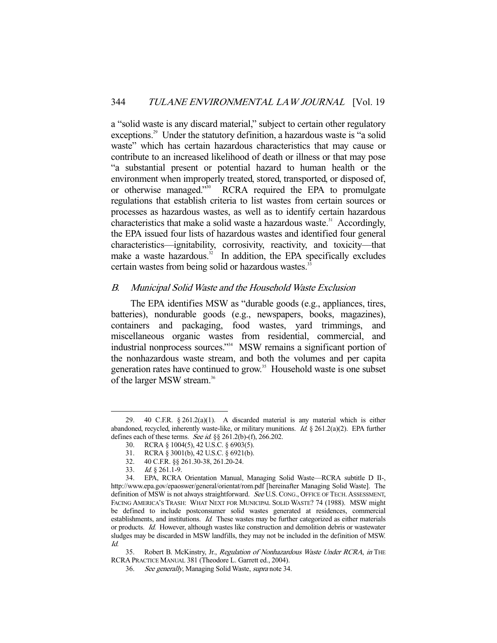a "solid waste is any discard material," subject to certain other regulatory exceptions.<sup>29</sup> Under the statutory definition, a hazardous waste is "a solid" waste" which has certain hazardous characteristics that may cause or contribute to an increased likelihood of death or illness or that may pose "a substantial present or potential hazard to human health or the environment when improperly treated, stored, transported, or disposed of, or otherwise managed."30 RCRA required the EPA to promulgate regulations that establish criteria to list wastes from certain sources or processes as hazardous wastes, as well as to identify certain hazardous characteristics that make a solid waste a hazardous waste.<sup>31</sup> Accordingly, the EPA issued four lists of hazardous wastes and identified four general characteristics—ignitability, corrosivity, reactivity, and toxicity—that make a waste hazardous. $32 \text{ In addition, the EPA specifically excludes}$ certain wastes from being solid or hazardous wastes.<sup>33</sup>

## B. Municipal Solid Waste and the Household Waste Exclusion

 The EPA identifies MSW as "durable goods (e.g., appliances, tires, batteries), nondurable goods (e.g., newspapers, books, magazines), containers and packaging, food wastes, yard trimmings, and miscellaneous organic wastes from residential, commercial, and industrial nonprocess sources."34 MSW remains a significant portion of the nonhazardous waste stream, and both the volumes and per capita generation rates have continued to grow.<sup>35</sup> Household waste is one subset of the larger MSW stream.<sup>36</sup>

 <sup>29. 40</sup> C.F.R. § 261.2(a)(1). A discarded material is any material which is either abandoned, recycled, inherently waste-like, or military munitions. *Id.* § 261.2(a)(2). EPA further defines each of these terms. See id. §§ 261.2(b)-(f), 266.202.

 <sup>30.</sup> RCRA § 1004(5), 42 U.S.C. § 6903(5).

 <sup>31.</sup> RCRA § 3001(b), 42 U.S.C. § 6921(b).

 <sup>32. 40</sup> C.F.R. §§ 261.30-38, 261.20-24.

 <sup>33.</sup> Id. § 261.1-9.

 <sup>34.</sup> EPA, RCRA Orientation Manual, Managing Solid Waste—RCRA subtitle D II-, http://www.epa.gov/epaoswer/general/orientat/rom.pdf [hereinafter Managing Solid Waste]. The definition of MSW is not always straightforward. See U.S. CONG., OFFICE OF TECH. ASSESSMENT, FACING AMERICA'S TRASH: WHAT NEXT FOR MUNICIPAL SOLID WASTE? 74 (1988). MSW might be defined to include postconsumer solid wastes generated at residences, commercial establishments, and institutions. Id. These wastes may be further categorized as either materials or products. Id. However, although wastes like construction and demolition debris or wastewater sludges may be discarded in MSW landfills, they may not be included in the definition of MSW. Id.

<sup>35.</sup> Robert B. McKinstry, Jr., Regulation of Nonhazardous Waste Under RCRA, in THE RCRA PRACTICE MANUAL 381 (Theodore L. Garrett ed., 2004).

 <sup>36.</sup> See generally, Managing Solid Waste, supra note 34.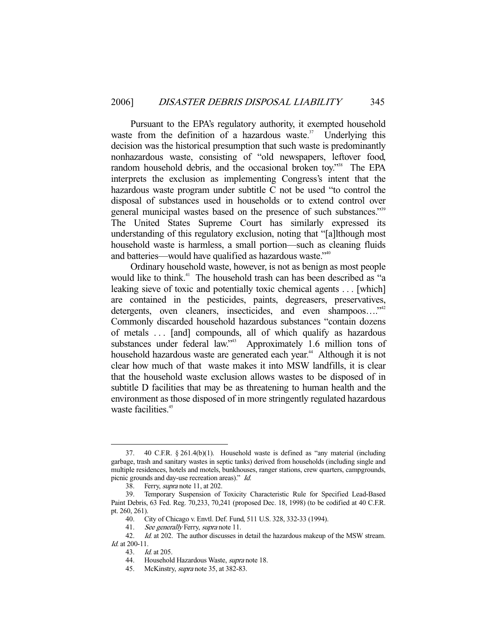Pursuant to the EPA's regulatory authority, it exempted household waste from the definition of a hazardous waste.<sup>37</sup> Underlying this decision was the historical presumption that such waste is predominantly nonhazardous waste, consisting of "old newspapers, leftover food, random household debris, and the occasional broken toy."<sup>38</sup> The EPA interprets the exclusion as implementing Congress's intent that the hazardous waste program under subtitle C not be used "to control the disposal of substances used in households or to extend control over general municipal wastes based on the presence of such substances."<sup>39</sup> The United States Supreme Court has similarly expressed its understanding of this regulatory exclusion, noting that "[a]lthough most household waste is harmless, a small portion—such as cleaning fluids and batteries—would have qualified as hazardous waste."<sup>40</sup>

 Ordinary household waste, however, is not as benign as most people would like to think.<sup>41</sup> The household trash can has been described as "a leaking sieve of toxic and potentially toxic chemical agents . . . [which] are contained in the pesticides, paints, degreasers, preservatives, detergents, oven cleaners, insecticides, and even shampoos....<sup>"42</sup> Commonly discarded household hazardous substances "contain dozens of metals . . . [and] compounds, all of which qualify as hazardous substances under federal law."<sup>43</sup> Approximately 1.6 million tons of household hazardous waste are generated each year.<sup>44</sup> Although it is not clear how much of that waste makes it into MSW landfills, it is clear that the household waste exclusion allows wastes to be disposed of in subtitle D facilities that may be as threatening to human health and the environment as those disposed of in more stringently regulated hazardous waste facilities.<sup>45</sup>

 <sup>37. 40</sup> C.F.R. § 261.4(b)(1). Household waste is defined as "any material (including garbage, trash and sanitary wastes in septic tanks) derived from households (including single and multiple residences, hotels and motels, bunkhouses, ranger stations, crew quarters, campgrounds, picnic grounds and day-use recreation areas)." Id.

 <sup>38.</sup> Ferry, supra note 11, at 202.

 <sup>39.</sup> Temporary Suspension of Toxicity Characteristic Rule for Specified Lead-Based Paint Debris, 63 Fed. Reg. 70,233, 70,241 (proposed Dec. 18, 1998) (to be codified at 40 C.F.R. pt. 260, 261).

 <sup>40.</sup> City of Chicago v. Envtl. Def. Fund, 511 U.S. 328, 332-33 (1994).

<sup>41.</sup> See generally Ferry, supra note 11.

<sup>42.</sup> *Id.* at 202. The author discusses in detail the hazardous makeup of the MSW stream. Id. at 200-11.

 <sup>43.</sup> Id. at 205.

<sup>44.</sup> Household Hazardous Waste, supra note 18.

<sup>45.</sup> McKinstry, *supra* note 35, at 382-83.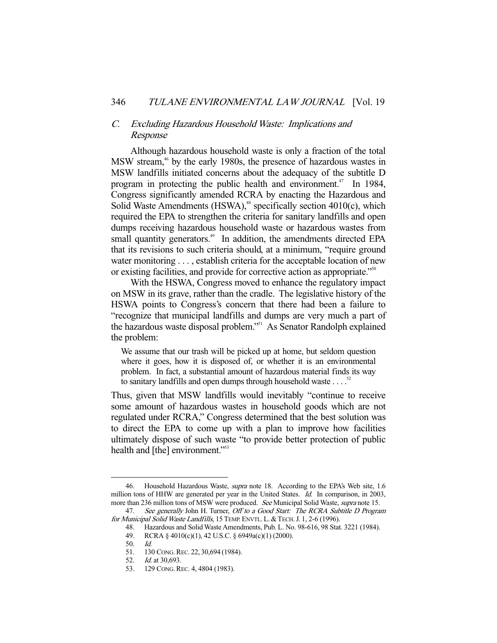## C. Excluding Hazardous Household Waste: Implications and Response

 Although hazardous household waste is only a fraction of the total MSW stream,<sup>46</sup> by the early 1980s, the presence of hazardous wastes in MSW landfills initiated concerns about the adequacy of the subtitle D program in protecting the public health and environment.<sup>47</sup> In 1984, Congress significantly amended RCRA by enacting the Hazardous and Solid Waste Amendments (HSWA), $48$  specifically section 4010(c), which required the EPA to strengthen the criteria for sanitary landfills and open dumps receiving hazardous household waste or hazardous wastes from small quantity generators.<sup>49</sup> In addition, the amendments directed EPA that its revisions to such criteria should, at a minimum, "require ground water monitoring . . . , establish criteria for the acceptable location of new or existing facilities, and provide for corrective action as appropriate.<sup>"50</sup>

 With the HSWA, Congress moved to enhance the regulatory impact on MSW in its grave, rather than the cradle. The legislative history of the HSWA points to Congress's concern that there had been a failure to "recognize that municipal landfills and dumps are very much a part of the hazardous waste disposal problem."51 As Senator Randolph explained the problem:

We assume that our trash will be picked up at home, but seldom question where it goes, how it is disposed of, or whether it is an environmental problem. In fact, a substantial amount of hazardous material finds its way to sanitary landfills and open dumps through household waste  $\ldots$ <sup>52</sup>

Thus, given that MSW landfills would inevitably "continue to receive some amount of hazardous wastes in household goods which are not regulated under RCRA," Congress determined that the best solution was to direct the EPA to come up with a plan to improve how facilities ultimately dispose of such waste "to provide better protection of public health and [the] environment."<sup>553</sup>

<sup>46.</sup> Household Hazardous Waste, *supra* note 18. According to the EPA's Web site, 1.6 million tons of HHW are generated per year in the United States. Id. In comparison, in 2003, more than 236 million tons of MSW were produced. See Municipal Solid Waste, supra note 15.

<sup>47.</sup> See generally John H. Turner, *Off to a Good Start: The RCRA Subtitle D Program* for Municipal Solid Waste Landfills, 15 TEMP. ENVTL. L. & TECH. J. 1, 2-6 (1996).

 <sup>48.</sup> Hazardous and Solid Waste Amendments, Pub. L. No. 98-616, 98 Stat. 3221 (1984).

 <sup>49.</sup> RCRA § 4010(c)(1), 42 U.S.C. § 6949a(c)(1) (2000).

 <sup>50.</sup> Id.

 <sup>51. 130</sup> CONG.REC. 22, 30,694 (1984).

 <sup>52.</sup> Id. at 30,693.

 <sup>53. 129</sup> CONG.REC. 4, 4804 (1983).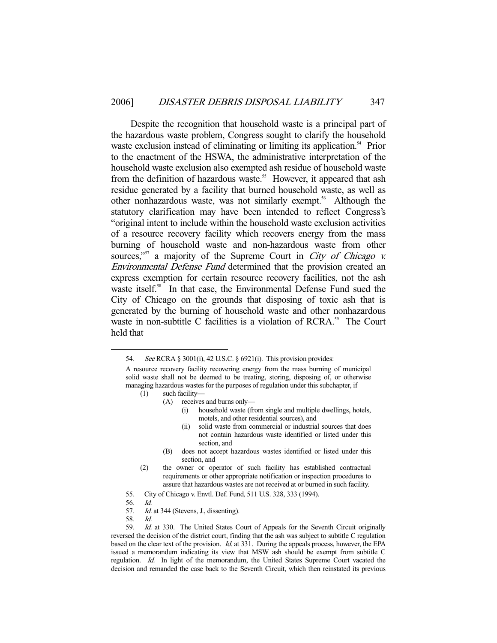Despite the recognition that household waste is a principal part of the hazardous waste problem, Congress sought to clarify the household waste exclusion instead of eliminating or limiting its application.<sup>54</sup> Prior to the enactment of the HSWA, the administrative interpretation of the household waste exclusion also exempted ash residue of household waste from the definition of hazardous waste.<sup>55</sup> However, it appeared that ash residue generated by a facility that burned household waste, as well as other nonhazardous waste, was not similarly exempt.<sup>56</sup> Although the statutory clarification may have been intended to reflect Congress's "original intent to include within the household waste exclusion activities of a resource recovery facility which recovers energy from the mass burning of household waste and non-hazardous waste from other sources,"<sup>57</sup> a majority of the Supreme Court in *City of Chicago v.* Environmental Defense Fund determined that the provision created an express exemption for certain resource recovery facilities, not the ash waste itself.<sup>58</sup> In that case, the Environmental Defense Fund sued the City of Chicago on the grounds that disposing of toxic ash that is generated by the burning of household waste and other nonhazardous waste in non-subtitle C facilities is a violation of RCRA.<sup>59</sup> The Court held that

- (1) such facility—
	- (A) receives and burns only—
		- (i) household waste (from single and multiple dwellings, hotels, motels, and other residential sources), and
		- (ii) solid waste from commercial or industrial sources that does not contain hazardous waste identified or listed under this section, and
	- (B) does not accept hazardous wastes identified or listed under this section, and
- (2) the owner or operator of such facility has established contractual requirements or other appropriate notification or inspection procedures to assure that hazardous wastes are not received at or burned in such facility.
- 55. City of Chicago v. Envtl. Def. Fund, 511 U.S. 328, 333 (1994).
- 56. Id.

-

- 57. *Id.* at 344 (Stevens, J., dissenting).
- 58. Id.

59. Id. at 330. The United States Court of Appeals for the Seventh Circuit originally reversed the decision of the district court, finding that the ash was subject to subtitle C regulation based on the clear text of the provision. Id. at 331. During the appeals process, however, the EPA issued a memorandum indicating its view that MSW ash should be exempt from subtitle C regulation. Id. In light of the memorandum, the United States Supreme Court vacated the decision and remanded the case back to the Seventh Circuit, which then reinstated its previous

 <sup>54.</sup> See RCRA § 3001(i), 42 U.S.C. § 6921(i). This provision provides:

A resource recovery facility recovering energy from the mass burning of municipal solid waste shall not be deemed to be treating, storing, disposing of, or otherwise managing hazardous wastes for the purposes of regulation under this subchapter, if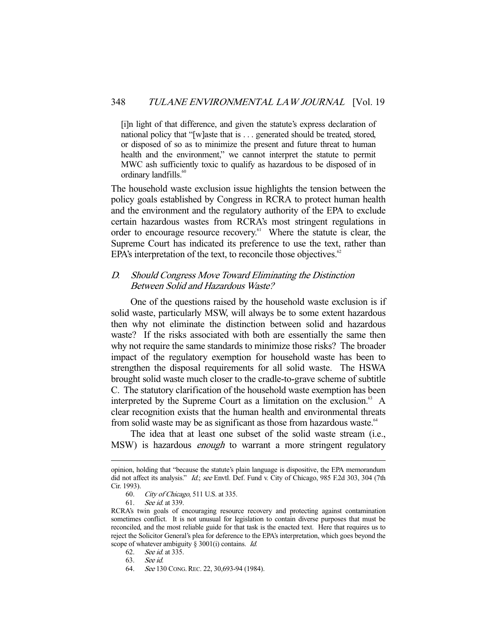[i]n light of that difference, and given the statute's express declaration of national policy that "[w]aste that is . . . generated should be treated, stored, or disposed of so as to minimize the present and future threat to human health and the environment," we cannot interpret the statute to permit MWC ash sufficiently toxic to qualify as hazardous to be disposed of in ordinary landfills.<sup>60</sup>

The household waste exclusion issue highlights the tension between the policy goals established by Congress in RCRA to protect human health and the environment and the regulatory authority of the EPA to exclude certain hazardous wastes from RCRA's most stringent regulations in order to encourage resource recovery.<sup>61</sup> Where the statute is clear, the Supreme Court has indicated its preference to use the text, rather than EPA's interpretation of the text, to reconcile those objectives. $62$ 

# D. Should Congress Move Toward Eliminating the Distinction Between Solid and Hazardous Waste?

 One of the questions raised by the household waste exclusion is if solid waste, particularly MSW, will always be to some extent hazardous then why not eliminate the distinction between solid and hazardous waste? If the risks associated with both are essentially the same then why not require the same standards to minimize those risks? The broader impact of the regulatory exemption for household waste has been to strengthen the disposal requirements for all solid waste. The HSWA brought solid waste much closer to the cradle-to-grave scheme of subtitle C. The statutory clarification of the household waste exemption has been interpreted by the Supreme Court as a limitation on the exclusion.<sup>63</sup> A clear recognition exists that the human health and environmental threats from solid waste may be as significant as those from hazardous waste.<sup>64</sup>

 The idea that at least one subset of the solid waste stream (i.e., MSW) is hazardous *enough* to warrant a more stringent regulatory

opinion, holding that "because the statute's plain language is dispositive, the EPA memorandum did not affect its analysis." Id.; see Envtl. Def. Fund v. City of Chicago, 985 F.2d 303, 304 (7th Cir. 1993).

 <sup>60.</sup> City of Chicago, 511 U.S. at 335.

 <sup>61.</sup> See id. at 339.

RCRA's twin goals of encouraging resource recovery and protecting against contamination sometimes conflict. It is not unusual for legislation to contain diverse purposes that must be reconciled, and the most reliable guide for that task is the enacted text. Here that requires us to reject the Solicitor General's plea for deference to the EPA's interpretation, which goes beyond the scope of whatever ambiguity § 3001(i) contains. *Id.* 

 <sup>62.</sup> See id. at 335.

 <sup>63.</sup> See id.

 <sup>64.</sup> See 130 CONG.REC. 22, 30,693-94 (1984).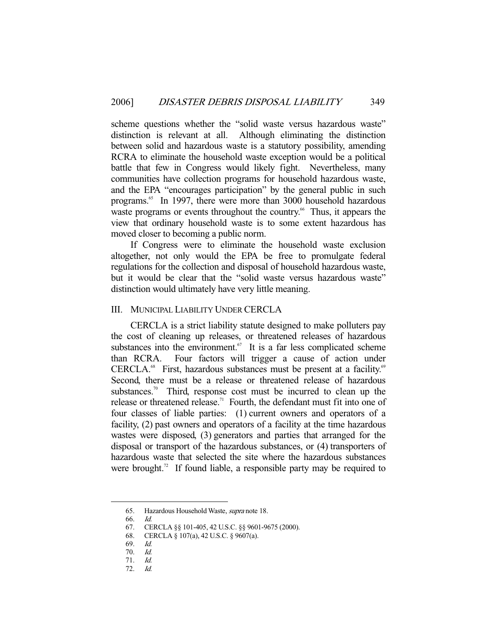scheme questions whether the "solid waste versus hazardous waste" distinction is relevant at all. Although eliminating the distinction between solid and hazardous waste is a statutory possibility, amending RCRA to eliminate the household waste exception would be a political battle that few in Congress would likely fight. Nevertheless, many communities have collection programs for household hazardous waste, and the EPA "encourages participation" by the general public in such programs.<sup>65</sup> In 1997, there were more than 3000 household hazardous waste programs or events throughout the country.<sup>66</sup> Thus, it appears the view that ordinary household waste is to some extent hazardous has moved closer to becoming a public norm.

 If Congress were to eliminate the household waste exclusion altogether, not only would the EPA be free to promulgate federal regulations for the collection and disposal of household hazardous waste, but it would be clear that the "solid waste versus hazardous waste" distinction would ultimately have very little meaning.

### III. MUNICIPAL LIABILITY UNDER CERCLA

 CERCLA is a strict liability statute designed to make polluters pay the cost of cleaning up releases, or threatened releases of hazardous substances into the environment. $67$  It is a far less complicated scheme than RCRA. Four factors will trigger a cause of action under CERCLA.<sup>68</sup> First, hazardous substances must be present at a facility.<sup>69</sup> Second, there must be a release or threatened release of hazardous substances.<sup>70</sup> Third, response cost must be incurred to clean up the release or threatened release.<sup>71</sup> Fourth, the defendant must fit into one of four classes of liable parties: (1) current owners and operators of a facility, (2) past owners and operators of a facility at the time hazardous wastes were disposed, (3) generators and parties that arranged for the disposal or transport of the hazardous substances, or (4) transporters of hazardous waste that selected the site where the hazardous substances were brought.<sup>72</sup> If found liable, a responsible party may be required to

 <sup>65.</sup> Hazardous Household Waste, supra note 18.

 <sup>66.</sup> Id.

 <sup>67.</sup> CERCLA §§ 101-405, 42 U.S.C. §§ 9601-9675 (2000).

 <sup>68.</sup> CERCLA § 107(a), 42 U.S.C. § 9607(a).

 <sup>69.</sup> Id.

 <sup>70.</sup> Id.

 <sup>71.</sup> Id.

 <sup>72.</sup> Id.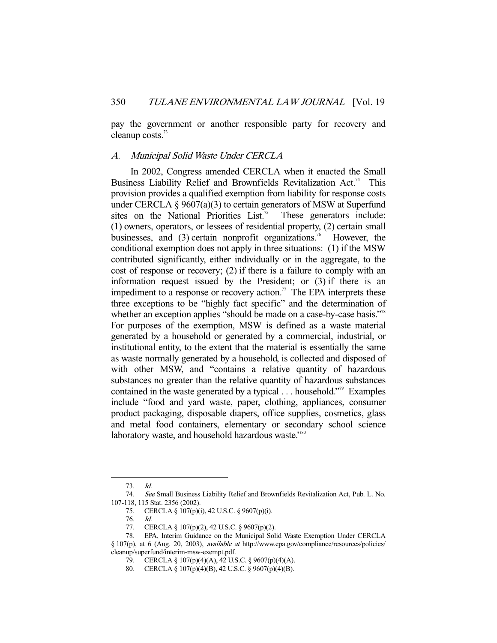pay the government or another responsible party for recovery and cleanup costs.<sup>73</sup>

## A. Municipal Solid Waste Under CERCLA

 In 2002, Congress amended CERCLA when it enacted the Small Business Liability Relief and Brownfields Revitalization Act.<sup>74</sup> This provision provides a qualified exemption from liability for response costs under CERCLA  $\S 9607(a)(3)$  to certain generators of MSW at Superfund sites on the National Priorities List.<sup>75</sup> These generators include: (1) owners, operators, or lessees of residential property, (2) certain small businesses, and  $(3)$  certain nonprofit organizations.<sup>76</sup> However, the conditional exemption does not apply in three situations: (1) if the MSW contributed significantly, either individually or in the aggregate, to the cost of response or recovery; (2) if there is a failure to comply with an information request issued by the President; or (3) if there is an impediment to a response or recovery action.<sup>77</sup> The EPA interprets these three exceptions to be "highly fact specific" and the determination of whether an exception applies "should be made on a case-by-case basis."<sup>78</sup> For purposes of the exemption, MSW is defined as a waste material generated by a household or generated by a commercial, industrial, or institutional entity, to the extent that the material is essentially the same as waste normally generated by a household, is collected and disposed of with other MSW, and "contains a relative quantity of hazardous substances no greater than the relative quantity of hazardous substances contained in the waste generated by a typical  $\dots$  household."<sup>79</sup> Examples include "food and yard waste, paper, clothing, appliances, consumer product packaging, disposable diapers, office supplies, cosmetics, glass and metal food containers, elementary or secondary school science laboratory waste, and household hazardous waste."<sup>80</sup>

 <sup>73.</sup> Id.

 <sup>74.</sup> See Small Business Liability Relief and Brownfields Revitalization Act, Pub. L. No. 107-118, 115 Stat. 2356 (2002).

 <sup>75.</sup> CERCLA § 107(p)(i), 42 U.S.C. § 9607(p)(i).

 <sup>76.</sup> Id.

 <sup>77.</sup> CERCLA § 107(p)(2), 42 U.S.C. § 9607(p)(2).

 <sup>78.</sup> EPA, Interim Guidance on the Municipal Solid Waste Exemption Under CERCLA § 107(p), at 6 (Aug. 20, 2003), available at http://www.epa.gov/compliance/resources/policies/ cleanup/superfund/interim-msw-exempt.pdf.

 <sup>79.</sup> CERCLA § 107(p)(4)(A), 42 U.S.C. § 9607(p)(4)(A).

 <sup>80.</sup> CERCLA § 107(p)(4)(B), 42 U.S.C. § 9607(p)(4)(B).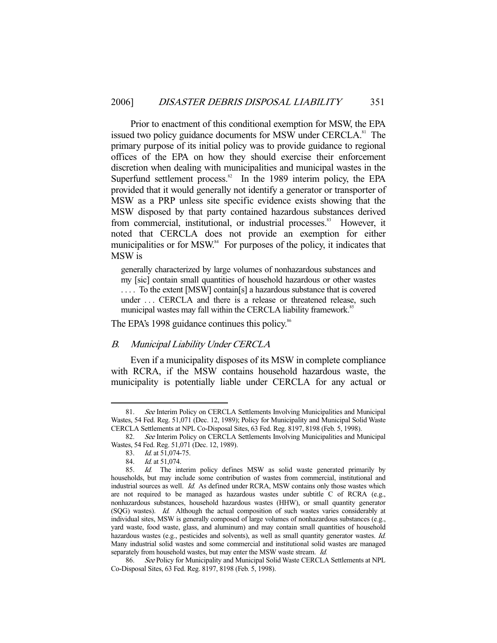Prior to enactment of this conditional exemption for MSW, the EPA issued two policy guidance documents for MSW under CERCLA.<sup>81</sup> The primary purpose of its initial policy was to provide guidance to regional offices of the EPA on how they should exercise their enforcement discretion when dealing with municipalities and municipal wastes in the Superfund settlement process. $82$  In the 1989 interim policy, the EPA provided that it would generally not identify a generator or transporter of MSW as a PRP unless site specific evidence exists showing that the MSW disposed by that party contained hazardous substances derived from commercial, institutional, or industrial processes.<sup>83</sup> However, it noted that CERCLA does not provide an exemption for either municipalities or for MSW.<sup>84</sup> For purposes of the policy, it indicates that MSW is

generally characterized by large volumes of nonhazardous substances and my [sic] contain small quantities of household hazardous or other wastes .... To the extent [MSW] contain[s] a hazardous substance that is covered under ... CERCLA and there is a release or threatened release, such municipal wastes may fall within the CERCLA liability framework.<sup>85</sup>

The EPA's 1998 guidance continues this policy.<sup>86</sup>

#### B. Municipal Liability Under CERCLA

 Even if a municipality disposes of its MSW in complete compliance with RCRA, if the MSW contains household hazardous waste, the municipality is potentially liable under CERCLA for any actual or

<sup>81.</sup> See Interim Policy on CERCLA Settlements Involving Municipalities and Municipal Wastes, 54 Fed. Reg. 51,071 (Dec. 12, 1989); Policy for Municipality and Municipal Solid Waste CERCLA Settlements at NPL Co-Disposal Sites, 63 Fed. Reg. 8197, 8198 (Feb. 5, 1998).

 <sup>82.</sup> See Interim Policy on CERCLA Settlements Involving Municipalities and Municipal Wastes, 54 Fed. Reg. 51,071 (Dec. 12, 1989).

 <sup>83.</sup> Id. at 51,074-75.

<sup>84.</sup> *Id.* at 51,074.

<sup>85.</sup> Id. The interim policy defines MSW as solid waste generated primarily by households, but may include some contribution of wastes from commercial, institutional and industrial sources as well. Id. As defined under RCRA, MSW contains only those wastes which are not required to be managed as hazardous wastes under subtitle C of RCRA (e.g., nonhazardous substances, household hazardous wastes (HHW), or small quantity generator (SQG) wastes). Id. Although the actual composition of such wastes varies considerably at individual sites, MSW is generally composed of large volumes of nonhazardous substances (e.g., yard waste, food waste, glass, and aluminum) and may contain small quantities of household hazardous wastes (e.g., pesticides and solvents), as well as small quantity generator wastes. Id. Many industrial solid wastes and some commercial and institutional solid wastes are managed separately from household wastes, but may enter the MSW waste stream. Id.

<sup>86.</sup> See Policy for Municipality and Municipal Solid Waste CERCLA Settlements at NPL Co-Disposal Sites, 63 Fed. Reg. 8197, 8198 (Feb. 5, 1998).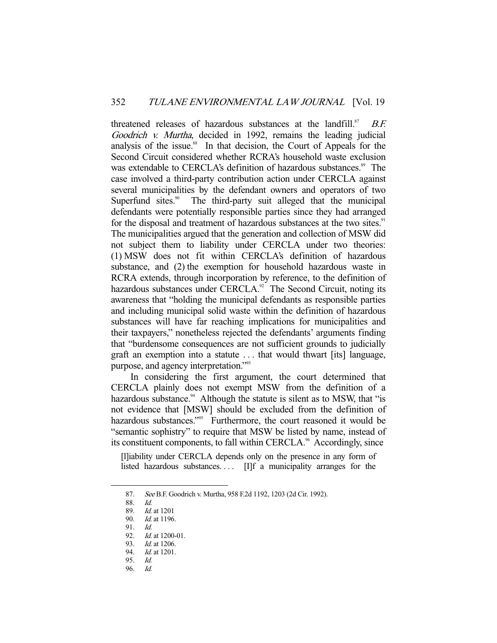threatened releases of hazardous substances at the landfill.<sup>87</sup> B.F. Goodrich v. Murtha, decided in 1992, remains the leading judicial analysis of the issue.<sup>88</sup> In that decision, the Court of Appeals for the Second Circuit considered whether RCRA's household waste exclusion was extendable to CERCLA's definition of hazardous substances.<sup>89</sup> The case involved a third-party contribution action under CERCLA against several municipalities by the defendant owners and operators of two Superfund sites.<sup>90</sup> The third-party suit alleged that the municipal defendants were potentially responsible parties since they had arranged for the disposal and treatment of hazardous substances at the two sites.<sup>91</sup> The municipalities argued that the generation and collection of MSW did not subject them to liability under CERCLA under two theories: (1) MSW does not fit within CERCLA's definition of hazardous substance, and (2) the exemption for household hazardous waste in RCRA extends, through incorporation by reference, to the definition of hazardous substances under CERCLA. $92$  The Second Circuit, noting its awareness that "holding the municipal defendants as responsible parties and including municipal solid waste within the definition of hazardous substances will have far reaching implications for municipalities and their taxpayers," nonetheless rejected the defendants' arguments finding that "burdensome consequences are not sufficient grounds to judicially graft an exemption into a statute . . . that would thwart [its] language, purpose, and agency interpretation."<sup>93</sup>

 In considering the first argument, the court determined that CERCLA plainly does not exempt MSW from the definition of a hazardous substance.<sup>94</sup> Although the statute is silent as to MSW, that "is not evidence that [MSW] should be excluded from the definition of hazardous substances."<sup>95</sup> Furthermore, the court reasoned it would be "semantic sophistry" to require that MSW be listed by name, instead of its constituent components, to fall within CERCLA.<sup>96</sup> Accordingly, since

[l]iability under CERCLA depends only on the presence in any form of listed hazardous substances.... [I]f a municipality arranges for the

 <sup>87.</sup> See B.F. Goodrich v. Murtha, 958 F.2d 1192, 1203 (2d Cir. 1992).

 <sup>88.</sup> Id.

 <sup>89.</sup> Id. at 1201

 <sup>90.</sup> Id. at 1196.

 <sup>91.</sup> Id.

 <sup>92.</sup> Id. at 1200-01.

<sup>93.</sup> *Id.* at 1206.

<sup>94.</sup> *Id.* at 1201. 95. Id.

 <sup>96.</sup> Id.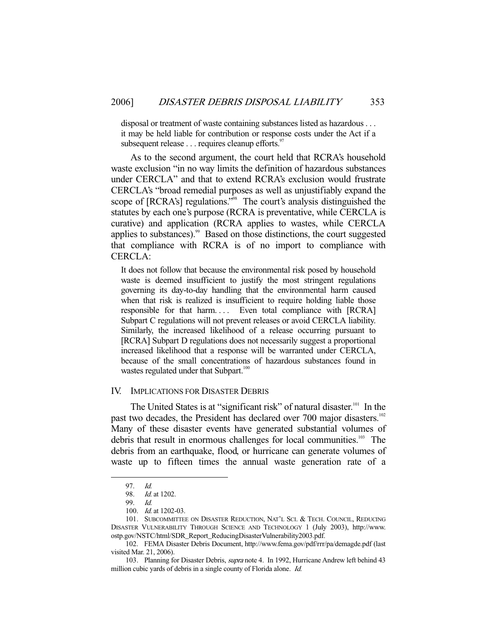disposal or treatment of waste containing substances listed as hazardous . . . it may be held liable for contribution or response costs under the Act if a subsequent release  $\dots$  requires cleanup efforts.<sup>97</sup>

 As to the second argument, the court held that RCRA's household waste exclusion "in no way limits the definition of hazardous substances under CERCLA" and that to extend RCRA's exclusion would frustrate CERCLA's "broad remedial purposes as well as unjustifiably expand the scope of [RCRA's] regulations."<sup>98</sup> The court's analysis distinguished the statutes by each one's purpose (RCRA is preventative, while CERCLA is curative) and application (RCRA applies to wastes, while CERCLA applies to substances).<sup>99</sup> Based on those distinctions, the court suggested that compliance with RCRA is of no import to compliance with CERCLA:

It does not follow that because the environmental risk posed by household waste is deemed insufficient to justify the most stringent regulations governing its day-to-day handling that the environmental harm caused when that risk is realized is insufficient to require holding liable those responsible for that harm.... Even total compliance with [RCRA] Subpart C regulations will not prevent releases or avoid CERCLA liability. Similarly, the increased likelihood of a release occurring pursuant to [RCRA] Subpart D regulations does not necessarily suggest a proportional increased likelihood that a response will be warranted under CERCLA, because of the small concentrations of hazardous substances found in wastes regulated under that Subpart.<sup>100</sup>

#### IV. IMPLICATIONS FOR DISASTER DEBRIS

The United States is at "significant risk" of natural disaster.<sup>101</sup> In the past two decades, the President has declared over 700 major disasters.<sup>102</sup> Many of these disaster events have generated substantial volumes of debris that result in enormous challenges for local communities.<sup>103</sup> The debris from an earthquake, flood, or hurricane can generate volumes of waste up to fifteen times the annual waste generation rate of a

 <sup>97.</sup> Id.

 <sup>98.</sup> Id. at 1202.

 <sup>99.</sup> Id.

 <sup>100.</sup> Id. at 1202-03.

 <sup>101.</sup> SUBCOMMITTEE ON DISASTER REDUCTION, NAT'L SCI. & TECH. COUNCIL, REDUCING DISASTER VULNERABILITY THROUGH SCIENCE AND TECHNOLOGY 1 (July 2003), http://www. ostp.gov/NSTC/html/SDR\_Report\_ReducingDisasterVulnerability2003.pdf.

 <sup>102.</sup> FEMA Disaster Debris Document, http://www.fema.gov/pdf/rrr/pa/demagde.pdf (last visited Mar. 21, 2006).

<sup>103.</sup> Planning for Disaster Debris, *supra* note 4. In 1992, Hurricane Andrew left behind 43 million cubic yards of debris in a single county of Florida alone. Id.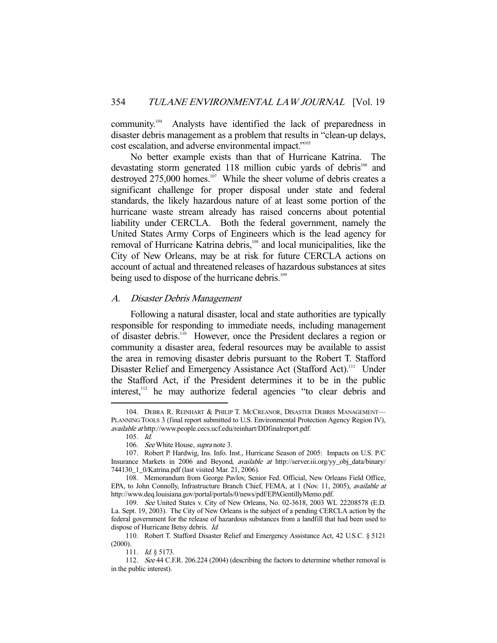community.104 Analysts have identified the lack of preparedness in disaster debris management as a problem that results in "clean-up delays, cost escalation, and adverse environmental impact."<sup>105</sup>

 No better example exists than that of Hurricane Katrina. The devastating storm generated 118 million cubic yards of debris<sup>106</sup> and destroyed 275,000 homes.<sup>107</sup> While the sheer volume of debris creates a significant challenge for proper disposal under state and federal standards, the likely hazardous nature of at least some portion of the hurricane waste stream already has raised concerns about potential liability under CERCLA. Both the federal government, namely the United States Army Corps of Engineers which is the lead agency for removal of Hurricane Katrina debris,<sup>108</sup> and local municipalities, like the City of New Orleans, may be at risk for future CERCLA actions on account of actual and threatened releases of hazardous substances at sites being used to dispose of the hurricane debris.<sup>109</sup>

#### A. Disaster Debris Management

 Following a natural disaster, local and state authorities are typically responsible for responding to immediate needs, including management of disaster debris.110 However, once the President declares a region or community a disaster area, federal resources may be available to assist the area in removing disaster debris pursuant to the Robert T. Stafford Disaster Relief and Emergency Assistance Act (Stafford Act).<sup>111</sup> Under the Stafford Act, if the President determines it to be in the public interest,<sup>112</sup> he may authorize federal agencies "to clear debris and

<sup>104.</sup> DEBRA R. REINHART & PHILIP T. MCCREANOR, DISASTER DEBRIS MANAGEMENT-PLANNING TOOLS 3 (final report submitted to U.S. Environmental Protection Agency Region IV), available at http://www.people.cecs.ucf.edu/reinhart/DDfinalreport.pdf.

 <sup>105.</sup> Id.

<sup>106.</sup> See White House, supra note 3.

 <sup>107.</sup> Robert P. Hardwig, Ins. Info. Inst., Hurricane Season of 2005: Impacts on U.S. P/C Insurance Markets in 2006 and Beyond, available at http://server.iii.org/yy\_obj\_data/binary/ 744130\_1\_0/Katrina.pdf (last visited Mar. 21, 2006).

 <sup>108.</sup> Memorandum from George Pavlov, Senior Fed. Official, New Orleans Field Office, EPA, to John Connolly, Infrastructure Branch Chief, FEMA, at 1 (Nov. 11, 2005), available at http://www.deq.louisiana.gov/portal/portals/0/news/pdf/EPAGentillyMemo.pdf.

 <sup>109.</sup> See United States v. City of New Orleans, No. 02-3618, 2003 WL 22208578 (E.D. La. Sept. 19, 2003). The City of New Orleans is the subject of a pending CERCLA action by the federal government for the release of hazardous substances from a landfill that had been used to dispose of Hurricane Betsy debris. Id.

 <sup>110.</sup> Robert T. Stafford Disaster Relief and Emergency Assistance Act, 42 U.S.C. § 5121 (2000).

<sup>111.</sup> *Id.* § 5173.

 <sup>112.</sup> See 44 C.F.R. 206.224 (2004) (describing the factors to determine whether removal is in the public interest).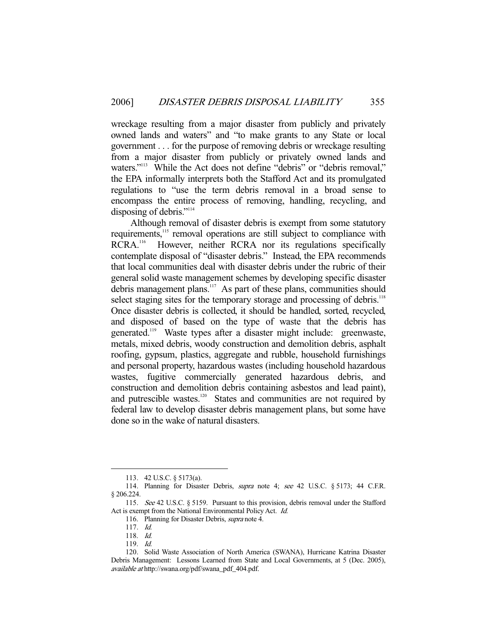wreckage resulting from a major disaster from publicly and privately owned lands and waters" and "to make grants to any State or local government . . . for the purpose of removing debris or wreckage resulting from a major disaster from publicly or privately owned lands and waters."<sup>113</sup> While the Act does not define "debris" or "debris removal," the EPA informally interprets both the Stafford Act and its promulgated regulations to "use the term debris removal in a broad sense to encompass the entire process of removing, handling, recycling, and disposing of debris."<sup>114</sup>

 Although removal of disaster debris is exempt from some statutory requirements,<sup>115</sup> removal operations are still subject to compliance with RCRA.<sup>116</sup> However, neither RCRA nor its regulations specifically contemplate disposal of "disaster debris." Instead, the EPA recommends that local communities deal with disaster debris under the rubric of their general solid waste management schemes by developing specific disaster debris management plans.<sup>117</sup> As part of these plans, communities should select staging sites for the temporary storage and processing of debris.<sup>118</sup> Once disaster debris is collected, it should be handled, sorted, recycled, and disposed of based on the type of waste that the debris has generated.<sup>119</sup> Waste types after a disaster might include: greenwaste, metals, mixed debris, woody construction and demolition debris, asphalt roofing, gypsum, plastics, aggregate and rubble, household furnishings and personal property, hazardous wastes (including household hazardous wastes, fugitive commercially generated hazardous debris, and construction and demolition debris containing asbestos and lead paint), and putrescible wastes.<sup>120</sup> States and communities are not required by federal law to develop disaster debris management plans, but some have done so in the wake of natural disasters.

 <sup>113. 42</sup> U.S.C. § 5173(a).

<sup>114.</sup> Planning for Disaster Debris, *supra* note 4; see 42 U.S.C. § 5173; 44 C.F.R. § 206.224.

 <sup>115.</sup> See 42 U.S.C. § 5159. Pursuant to this provision, debris removal under the Stafford Act is exempt from the National Environmental Policy Act. Id.

<sup>116.</sup> Planning for Disaster Debris, *supra* note 4.

 <sup>117.</sup> Id.

 <sup>118.</sup> Id.

 <sup>119.</sup> Id.

 <sup>120.</sup> Solid Waste Association of North America (SWANA), Hurricane Katrina Disaster Debris Management: Lessons Learned from State and Local Governments, at 5 (Dec. 2005), available at http://swana.org/pdf/swana\_pdf\_404.pdf.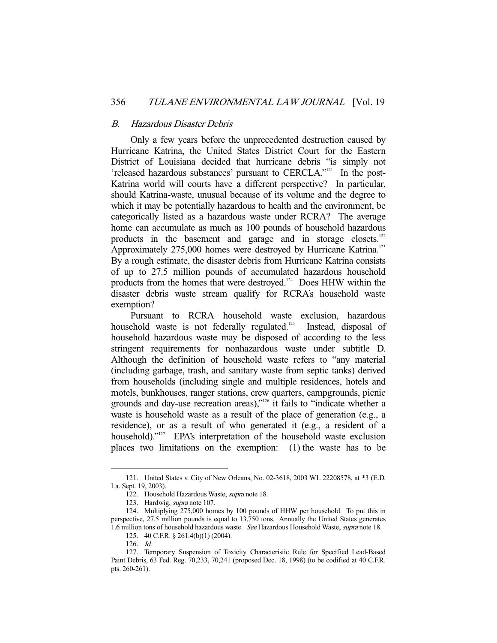#### B. Hazardous Disaster Debris

 Only a few years before the unprecedented destruction caused by Hurricane Katrina, the United States District Court for the Eastern District of Louisiana decided that hurricane debris "is simply not 'released hazardous substances' pursuant to CERCLA."121 In the post-Katrina world will courts have a different perspective? In particular, should Katrina-waste, unusual because of its volume and the degree to which it may be potentially hazardous to health and the environment, be categorically listed as a hazardous waste under RCRA? The average home can accumulate as much as 100 pounds of household hazardous products in the basement and garage and in storage closets.<sup>122</sup> Approximately 275,000 homes were destroyed by Hurricane Katrina.<sup>123</sup> By a rough estimate, the disaster debris from Hurricane Katrina consists of up to 27.5 million pounds of accumulated hazardous household products from the homes that were destroyed.124 Does HHW within the disaster debris waste stream qualify for RCRA's household waste exemption?

 Pursuant to RCRA household waste exclusion, hazardous household waste is not federally regulated.<sup>125</sup> Instead, disposal of household hazardous waste may be disposed of according to the less stringent requirements for nonhazardous waste under subtitle D. Although the definition of household waste refers to "any material (including garbage, trash, and sanitary waste from septic tanks) derived from households (including single and multiple residences, hotels and motels, bunkhouses, ranger stations, crew quarters, campgrounds, picnic grounds and day-use recreation areas),"126 it fails to "indicate whether a waste is household waste as a result of the place of generation (e.g., a residence), or as a result of who generated it (e.g., a resident of a household)."<sup>127</sup> EPA's interpretation of the household waste exclusion places two limitations on the exemption: (1) the waste has to be

 <sup>121.</sup> United States v. City of New Orleans, No. 02-3618, 2003 WL 22208578, at \*3 (E.D. La. Sept. 19, 2003).

 <sup>122.</sup> Household Hazardous Waste, supra note 18.

 <sup>123.</sup> Hardwig, supra note 107.

 <sup>124.</sup> Multiplying 275,000 homes by 100 pounds of HHW per household. To put this in perspective, 27.5 million pounds is equal to 13,750 tons. Annually the United States generates 1.6 million tons of household hazardous waste. See Hazardous Household Waste, supra note 18.

 <sup>125. 40</sup> C.F.R. § 261.4(b)(1) (2004).

 <sup>126.</sup> Id.

 <sup>127.</sup> Temporary Suspension of Toxicity Characteristic Rule for Specified Lead-Based Paint Debris, 63 Fed. Reg. 70,233, 70,241 (proposed Dec. 18, 1998) (to be codified at 40 C.F.R. pts. 260-261).